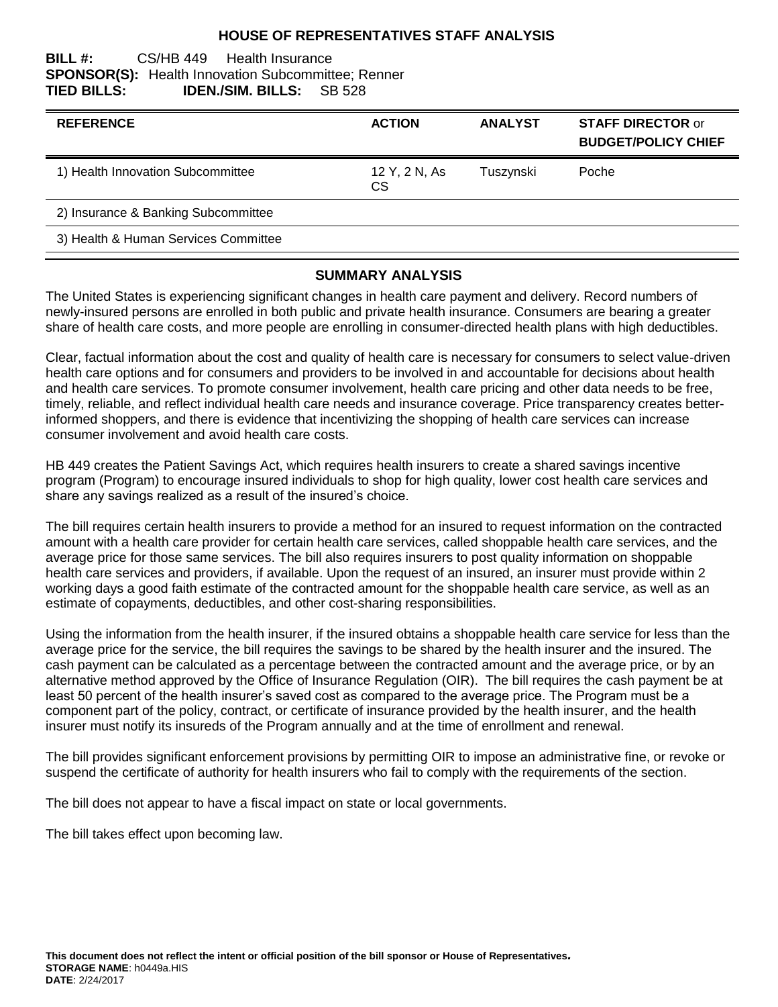## **HOUSE OF REPRESENTATIVES STAFF ANALYSIS**

#### **BILL #:** CS/HB 449 Health Insurance **SPONSOR(S):** Health Innovation Subcommittee; Renner **TIED BILLS: IDEN./SIM. BILLS:** SB 528

| <b>REFERENCE</b>                     | <b>ACTION</b>        | <b>ANALYST</b> | <b>STAFF DIRECTOR or</b><br><b>BUDGET/POLICY CHIEF</b> |
|--------------------------------------|----------------------|----------------|--------------------------------------------------------|
| 1) Health Innovation Subcommittee    | 12 Y, 2 N, As<br>CS. | Tuszynski      | Poche                                                  |
| 2) Insurance & Banking Subcommittee  |                      |                |                                                        |
| 3) Health & Human Services Committee |                      |                |                                                        |

## **SUMMARY ANALYSIS**

The United States is experiencing significant changes in health care payment and delivery. Record numbers of newly-insured persons are enrolled in both public and private health insurance. Consumers are bearing a greater share of health care costs, and more people are enrolling in consumer-directed health plans with high deductibles.

Clear, factual information about the cost and quality of health care is necessary for consumers to select value-driven health care options and for consumers and providers to be involved in and accountable for decisions about health and health care services. To promote consumer involvement, health care pricing and other data needs to be free, timely, reliable, and reflect individual health care needs and insurance coverage. Price transparency creates betterinformed shoppers, and there is evidence that incentivizing the shopping of health care services can increase consumer involvement and avoid health care costs.

HB 449 creates the Patient Savings Act, which requires health insurers to create a shared savings incentive program (Program) to encourage insured individuals to shop for high quality, lower cost health care services and share any savings realized as a result of the insured's choice.

The bill requires certain health insurers to provide a method for an insured to request information on the contracted amount with a health care provider for certain health care services, called shoppable health care services, and the average price for those same services. The bill also requires insurers to post quality information on shoppable health care services and providers, if available. Upon the request of an insured, an insurer must provide within 2 working days a good faith estimate of the contracted amount for the shoppable health care service, as well as an estimate of copayments, deductibles, and other cost-sharing responsibilities.

Using the information from the health insurer, if the insured obtains a shoppable health care service for less than the average price for the service, the bill requires the savings to be shared by the health insurer and the insured. The cash payment can be calculated as a percentage between the contracted amount and the average price, or by an alternative method approved by the Office of Insurance Regulation (OIR). The bill requires the cash payment be at least 50 percent of the health insurer's saved cost as compared to the average price. The Program must be a component part of the policy, contract, or certificate of insurance provided by the health insurer, and the health insurer must notify its insureds of the Program annually and at the time of enrollment and renewal.

The bill provides significant enforcement provisions by permitting OIR to impose an administrative fine, or revoke or suspend the certificate of authority for health insurers who fail to comply with the requirements of the section.

The bill does not appear to have a fiscal impact on state or local governments.

The bill takes effect upon becoming law.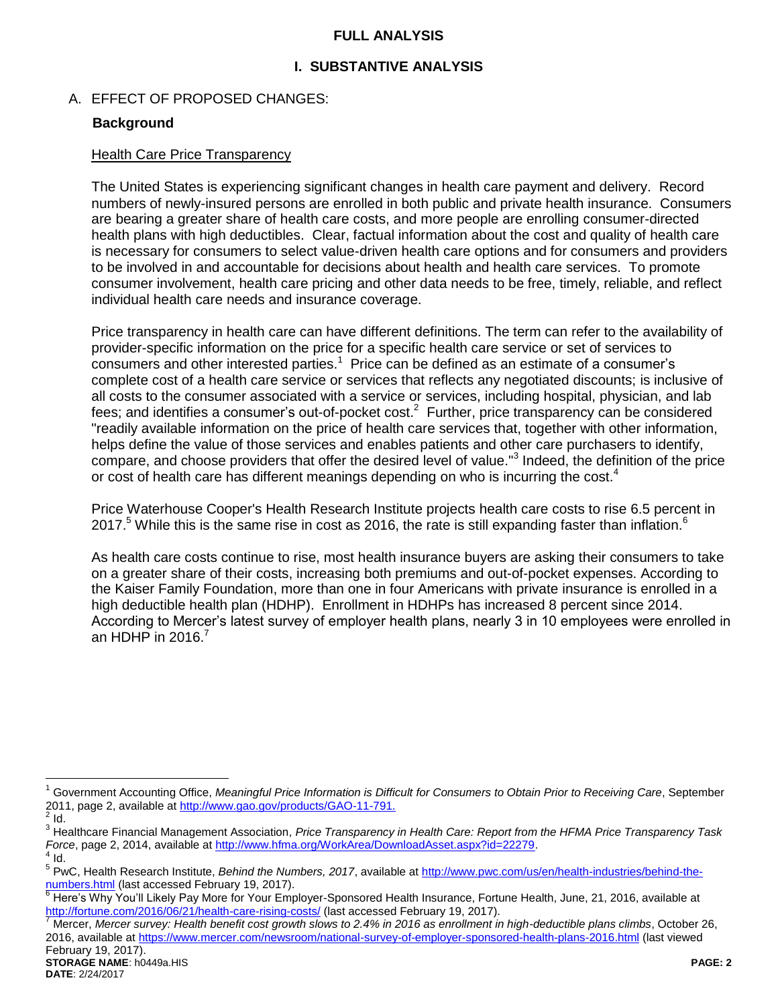## **FULL ANALYSIS**

# **I. SUBSTANTIVE ANALYSIS**

A. EFFECT OF PROPOSED CHANGES:

## **Background**

## Health Care Price Transparency

The United States is experiencing significant changes in health care payment and delivery. Record numbers of newly-insured persons are enrolled in both public and private health insurance. Consumers are bearing a greater share of health care costs, and more people are enrolling consumer-directed health plans with high deductibles. Clear, factual information about the cost and quality of health care is necessary for consumers to select value-driven health care options and for consumers and providers to be involved in and accountable for decisions about health and health care services. To promote consumer involvement, health care pricing and other data needs to be free, timely, reliable, and reflect individual health care needs and insurance coverage.

Price transparency in health care can have different definitions. The term can refer to the availability of provider-specific information on the price for a specific health care service or set of services to consumers and other interested parties.<sup>1</sup> Price can be defined as an estimate of a consumer's complete cost of a health care service or services that reflects any negotiated discounts; is inclusive of all costs to the consumer associated with a service or services, including hospital, physician, and lab fees; and identifies a consumer's out-of-pocket cost.<sup>2</sup> Further, price transparency can be considered "readily available information on the price of health care services that, together with other information, helps define the value of those services and enables patients and other care purchasers to identify, compare, and choose providers that offer the desired level of value."<sup>3</sup> Indeed, the definition of the price or cost of health care has different meanings depending on who is incurring the cost.<sup>4</sup>

Price Waterhouse Cooper's Health Research Institute projects health care costs to rise 6.5 percent in 2017.<sup>5</sup> While this is the same rise in cost as 2016, the rate is still expanding faster than inflation.<sup>6</sup>

As health care costs continue to rise, most health insurance buyers are asking their consumers to take on a greater share of their costs, increasing both premiums and out-of-pocket expenses. According to the Kaiser Family Foundation, more than one in four Americans with private insurance is enrolled in a high deductible health plan (HDHP). Enrollment in HDHPs has increased 8 percent since 2014. According to Mercer's latest survey of employer health plans, nearly 3 in 10 employees were enrolled in an HDHP in 2016. $<sup>7</sup>$ </sup>

 $\overline{a}$ 

<sup>&</sup>lt;sup>1</sup> Government Accounting Office, Meaningful Price Information is Difficult for Consumers to Obtain Prior to Receiving Care, September 2011, page 2, available a[t http://www.gao.gov/products/GAO-11-791.](http://www.gao.gov/products/GAO-11-791)  $\frac{2}{3}$  Id.

<sup>3</sup> Healthcare Financial Management Association, *Price Transparency in Health Care: Report from the HFMA Price Transparency Task Force*, page 2, 2014, available at <u>http://www.hfma.org/WorkArea/DownloadAsset.aspx?id=22279</u>.<br><sup>4</sup> Id.

<sup>&</sup>lt;sup>5</sup> PwC, Health Research Institute, *Behind the Numbers, 2017*, available at [http://www.pwc.com/us/en/health-industries/behind-the](http://www.pwc.com/us/en/health-industries/behind-the-numbers.html)[numbers.html](http://www.pwc.com/us/en/health-industries/behind-the-numbers.html) (last accessed February 19, 2017).

<sup>&</sup>lt;sup>6</sup> Here's Why You'll Likely Pay More for Your Employer-Sponsored Health Insurance, Fortune Health, June, 21, 2016, available at <http://fortune.com/2016/06/21/health-care-rising-costs/> (last accessed February 19, 2017).

<sup>7</sup> Mercer, *Mercer survey: Health benefit cost growth slows to 2.4% in 2016 as enrollment in high-deductible plans climbs*, October 26, 2016, available at<https://www.mercer.com/newsroom/national-survey-of-employer-sponsored-health-plans-2016.html> (last viewed February 19, 2017).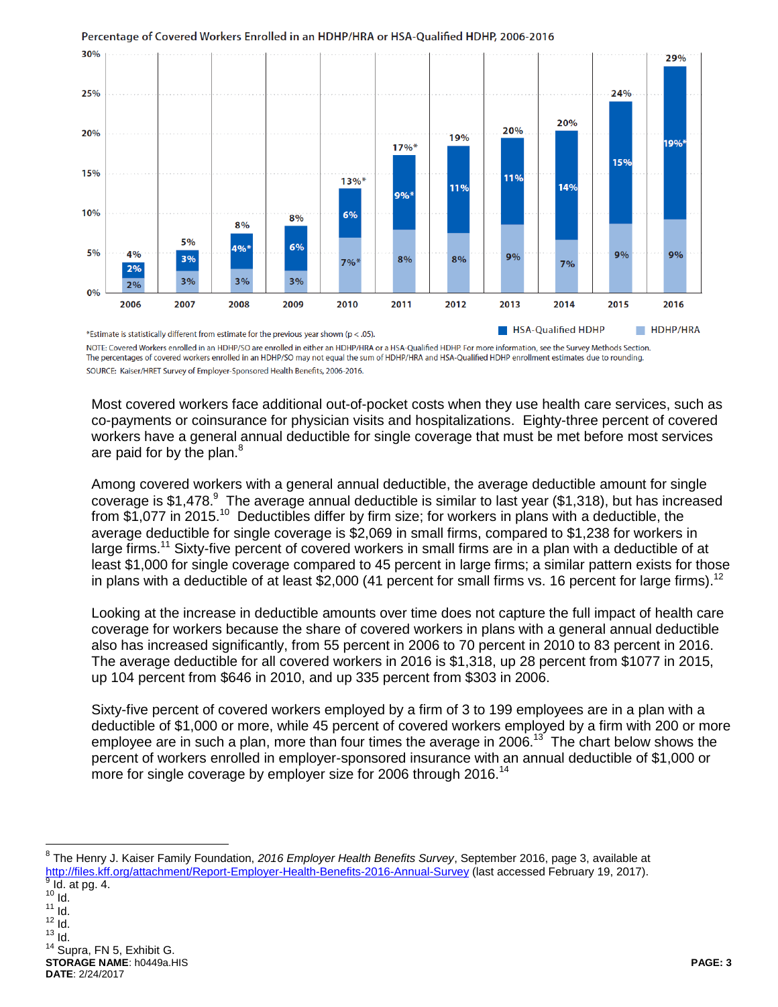

#### Percentage of Covered Workers Enrolled in an HDHP/HRA or HSA-Qualified HDHP, 2006-2016

NOTE: Covered Workers enrolled in an HDHP/SO are enrolled in either an HDHP/HRA or a HSA-Qualified HDHP. For more information, see the Survey Methods Section. The percentages of covered workers enrolled in an HDHP/SO may not equal the sum of HDHP/HRA and HSA-Qualified HDHP enrollment estimates due to rounding. SOURCE: Kaiser/HRET Survey of Employer-Sponsored Health Benefits, 2006-2016.

Most covered workers face additional out-of-pocket costs when they use health care services, such as co-payments or coinsurance for physician visits and hospitalizations. Eighty-three percent of covered workers have a general annual deductible for single coverage that must be met before most services are paid for by the plan.<sup>8</sup>

Among covered workers with a general annual deductible, the average deductible amount for single coverage is \$1,478. $^9$  The average annual deductible is similar to last year (\$1,318), but has increased from \$1,077 in 2015.<sup>10</sup> Deductibles differ by firm size; for workers in plans with a deductible, the average deductible for single coverage is \$2,069 in small firms, compared to \$1,238 for workers in large firms.<sup>11</sup> Sixty-five percent of covered workers in small firms are in a plan with a deductible of at least \$1,000 for single coverage compared to 45 percent in large firms; a similar pattern exists for those in plans with a deductible of at least \$2,000 (41 percent for small firms vs. 16 percent for large firms).<sup>12</sup>

Looking at the increase in deductible amounts over time does not capture the full impact of health care coverage for workers because the share of covered workers in plans with a general annual deductible also has increased significantly, from 55 percent in 2006 to 70 percent in 2010 to 83 percent in 2016. The average deductible for all covered workers in 2016 is \$1,318, up 28 percent from \$1077 in 2015, up 104 percent from \$646 in 2010, and up 335 percent from \$303 in 2006.

Sixty-five percent of covered workers employed by a firm of 3 to 199 employees are in a plan with a deductible of \$1,000 or more, while 45 percent of covered workers employed by a firm with 200 or more employee are in such a plan, more than four times the average in 2006.<sup>13</sup> The chart below shows the percent of workers enrolled in employer-sponsored insurance with an annual deductible of \$1,000 or more for single coverage by employer size for 2006 through 2016.<sup>14</sup>

  $\overline{\phantom{0}}$   $\overline{\phantom{0}}$   $\overline{\phantom{0}}$   $\overline{\phantom{0}}$   $\frac{1}{10}$ .  $\overline{1}$ d.  $13$  Id.

 $\overline{a}$ 

**STORAGE NAME**: h0449a.HIS **PAGE: 3 DATE**: 2/24/2017 <sup>14</sup> Supra, FN 5, Exhibit G.

<sup>8</sup> The Henry J. Kaiser Family Foundation, *2016 Employer Health Benefits Survey*, September 2016, page 3, available at <u><http://files.kff.org/attachment/Report-Employer-Health-Benefits-2016-Annual-Survey></u> (last accessed February 19, 2017).<br><sup>9</sup> Id. at pg. 4.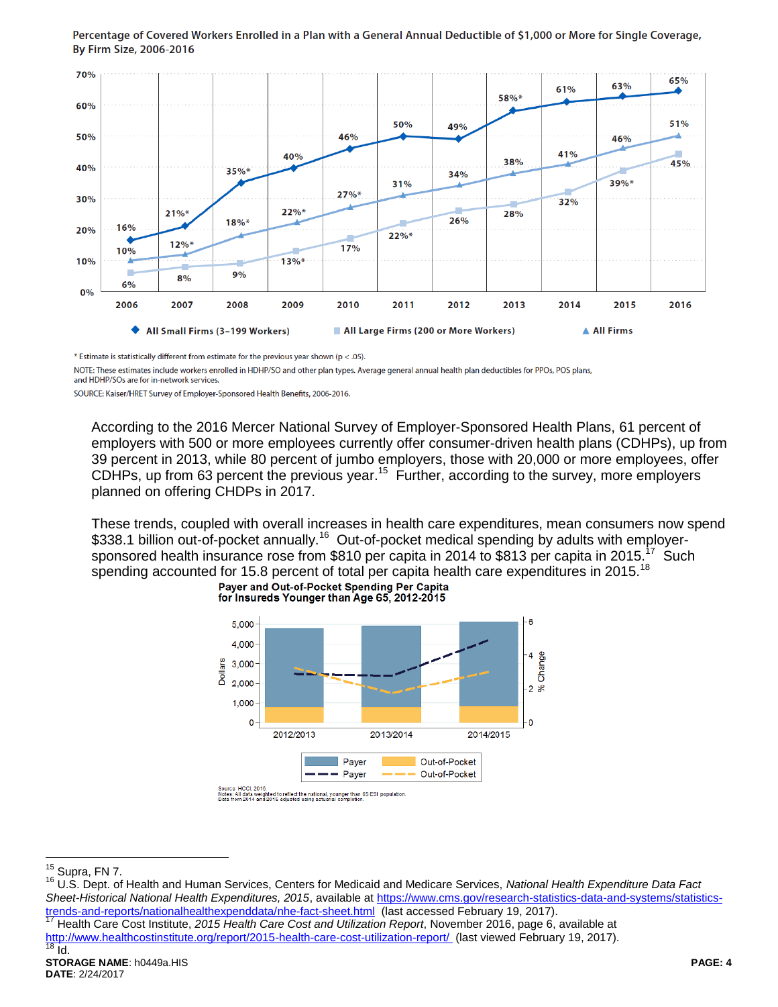

#### Percentage of Covered Workers Enrolled in a Plan with a General Annual Deductible of \$1,000 or More for Single Coverage, By Firm Size, 2006-2016

\* Estimate is statistically different from estimate for the previous year shown ( $p < .05$ ).

NOTE: These estimates include workers enrolled in HDHP/SO and other plan types. Average general annual health plan deductibles for PPOs, POS plans,

and HDHP/SOs are for in-network services.

SOURCE: Kaiser/HRET Survey of Employer-Sponsored Health Benefits, 2006-2016.

According to the 2016 Mercer National Survey of Employer-Sponsored Health Plans, 61 percent of employers with 500 or more employees currently offer consumer-driven health plans (CDHPs), up from 39 percent in 2013, while 80 percent of jumbo employers, those with 20,000 or more employees, offer CDHPs, up from 63 percent the previous year.<sup>15</sup> Further, according to the survey, more employers planned on offering CHDPs in 2017.

These trends, coupled with overall increases in health care expenditures, mean consumers now spend \$338.1 billion out-of-pocket annually.<sup>16</sup> Out-of-pocket medical spending by adults with employersponsored health insurance rose from \$810 per capita in 2014 to \$813 per capita in 2015.<sup>17</sup> Such spending accounted for 15.8 percent of total per capita health care expenditures in 2015.<sup>18</sup><br>Payer and Out-of-Pocket Spending Per Capita



for Insureds Younger than Age 65, 2012-2015

 $15$  Supra, FN 7.

 $\overline{a}$ 

<sup>16</sup> U.S. Dept. of Health and Human Services, Centers for Medicaid and Medicare Services, *National Health Expenditure Data Fact Sheet-Historical National Health Expenditures, 2015*, available a[t https://www.cms.gov/research-statistics-data-and-systems/statistics](https://www.cms.gov/research-statistics-data-and-systems/statistics-trends-and-reports/nationalhealthexpenddata/nhe-fact-sheet.html)[trends-and-reports/nationalhealthexpenddata/nhe-fact-sheet.html](https://www.cms.gov/research-statistics-data-and-systems/statistics-trends-and-reports/nationalhealthexpenddata/nhe-fact-sheet.html) (last accessed February 19, 2017).

<sup>17</sup> Health Care Cost Institute, *2015 Health Care Cost and Utilization Report*, November 2016, page 6, available at <http://www.healthcostinstitute.org/report/2015-health-care-cost-utilization-report/>(last viewed February 19, 2017).<br><sup>18</sup> Id  $\overline{Id}$ .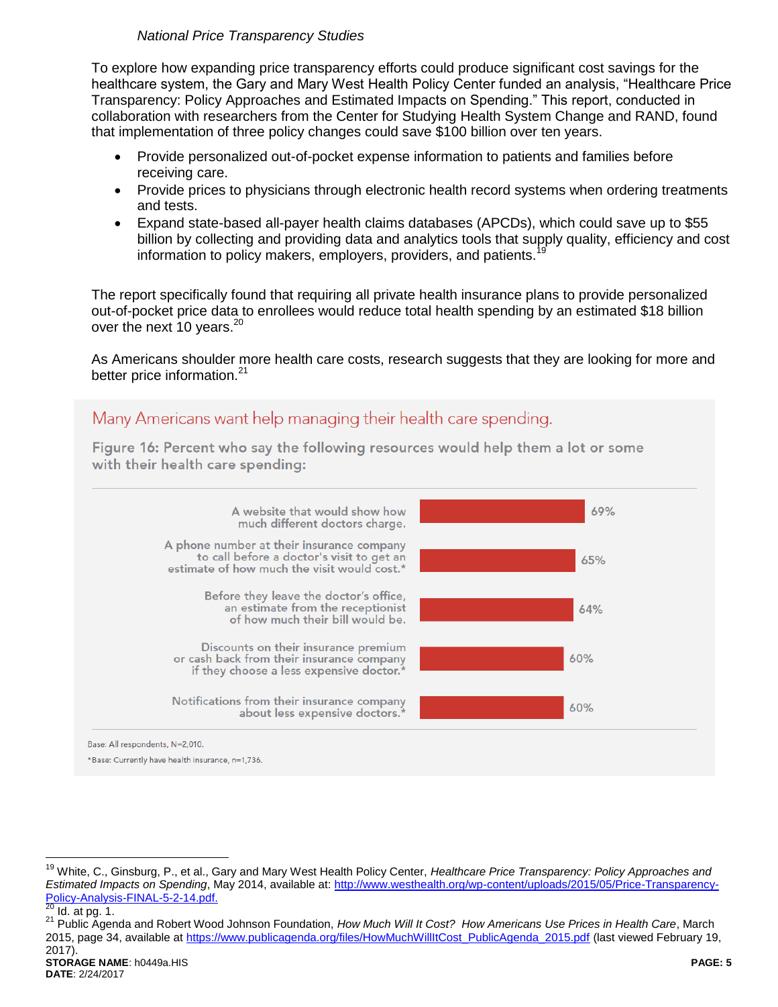# *National Price Transparency Studies*

To explore how expanding price transparency efforts could produce significant cost savings for the healthcare system, the Gary and Mary West Health Policy Center funded an analysis, "Healthcare Price Transparency: Policy Approaches and Estimated Impacts on Spending." This report, conducted in collaboration with researchers from the Center for Studying Health System Change and RAND, found that implementation of three policy changes could save \$100 billion over ten years.

- Provide personalized out-of-pocket expense information to patients and families before receiving care.
- Provide prices to physicians through electronic health record systems when ordering treatments and tests.
- Expand state-based all-payer health claims databases (APCDs), which could save up to \$55 billion by collecting and providing data and analytics tools that supply quality, efficiency and cost information to policy makers, employers, providers, and patients.

The report specifically found that requiring all private health insurance plans to provide personalized out-of-pocket price data to enrollees would reduce total health spending by an estimated \$18 billion over the next 10 years.<sup>20</sup>

As Americans shoulder more health care costs, research suggests that they are looking for more and better price information.<sup>21</sup>

# Many Americans want help managing their health care spending.

Figure 16: Percent who say the following resources would help them a lot or some with their health care spending:



 $\overline{a}$ 

<sup>19</sup> White, C., Ginsburg, P., et al., Gary and Mary West Health Policy Center, *Healthcare Price Transparency: Policy Approaches and Estimated Impacts on Spending*, May 2014, available at: [http://www.westhealth.org/wp-content/uploads/2015/05/Price-Transparency-](http://www.westhealth.org/wp-content/uploads/2015/05/Price-Transparency-Policy-Analysis-FINAL-5-2-14.pdf)[Policy-Analysis-FINAL-5-2-14.pdf.](http://www.westhealth.org/wp-content/uploads/2015/05/Price-Transparency-Policy-Analysis-FINAL-5-2-14.pdf)<br>20 Id. at ps. 4

 $Id.$  at pg. 1.

<sup>21</sup> Public Agenda and Robert Wood Johnson Foundation, *How Much Will It Cost? How Americans Use Prices in Health Care*, March 2015, page 34, available a[t https://www.publicagenda.org/files/HowMuchWillItCost\\_PublicAgenda\\_2015.pdf](https://www.publicagenda.org/files/HowMuchWillItCost_PublicAgenda_2015.pdf) (last viewed February 19, 2017).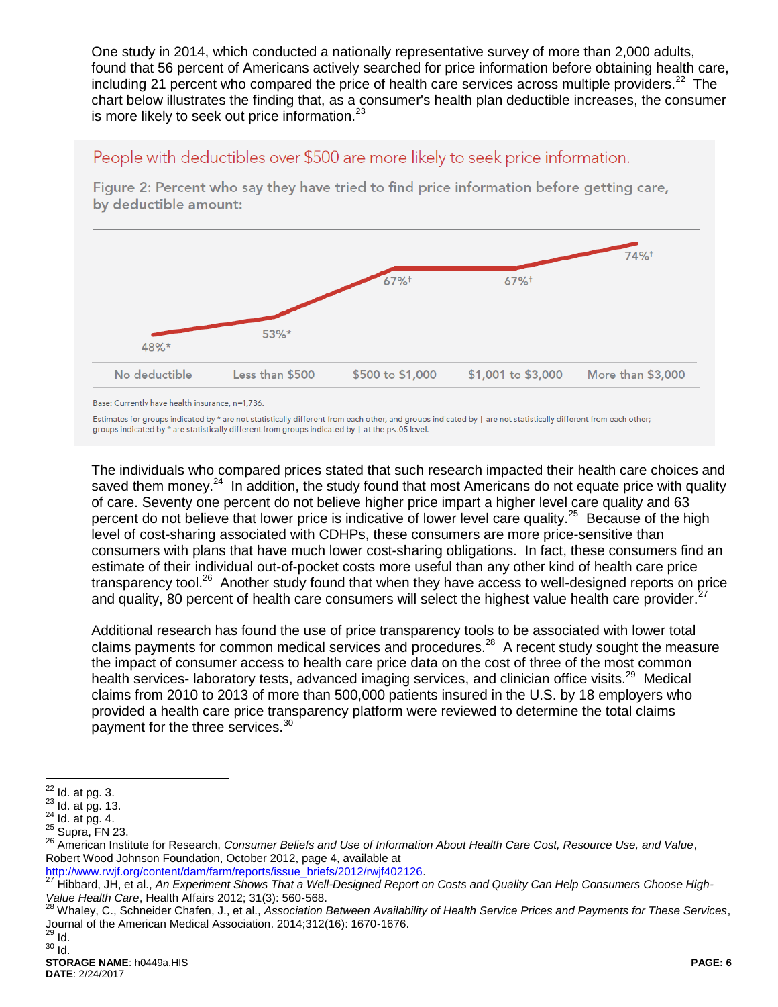One study in 2014, which conducted a nationally representative survey of more than 2,000 adults, found that 56 percent of Americans actively searched for price information before obtaining health care, including 21 percent who compared the price of health care services across multiple providers.<sup>22</sup> The chart below illustrates the finding that, as a consumer's health plan deductible increases, the consumer is more likely to seek out price information. $23$ 

People with deductibles over \$500 are more likely to seek price information.

by deductible amount: 74%+ 67%  $67%$ <sup>+</sup>

\$500 to \$1,000

\$1,001 to \$3,000

More than \$3,000

Figure 2: Percent who say they have tried to find price information before getting care,

Base: Currently have health insurance, n=1,736.

48%\*

No deductible

53%\*

Less than \$500

Estimates for groups indicated by \* are not statistically different from each other, and groups indicated by † are not statistically different from each other; groups indicated by \* are statistically different from groups indicated by † at the p<.05 level.

The individuals who compared prices stated that such research impacted their health care choices and saved them money.<sup>24</sup> In addition, the study found that most Americans do not equate price with quality of care. Seventy one percent do not believe higher price impart a higher level care quality and 63 percent do not believe that lower price is indicative of lower level care quality.<sup>25</sup> Because of the high level of cost-sharing associated with CDHPs, these consumers are more price-sensitive than consumers with plans that have much lower cost-sharing obligations. In fact, these consumers find an estimate of their individual out-of-pocket costs more useful than any other kind of health care price transparency tool.<sup>26</sup> Another study found that when they have access to well-designed reports on price and quality, 80 percent of health care consumers will select the highest value health care provider. $27$ 

Additional research has found the use of price transparency tools to be associated with lower total claims payments for common medical services and procedures.<sup>28</sup> A recent study sought the measure the impact of consumer access to health care price data on the cost of three of the most common health services- laboratory tests, advanced imaging services, and clinician office visits.<sup>29</sup> Medical claims from 2010 to 2013 of more than 500,000 patients insured in the U.S. by 18 employers who provided a health care price transparency platform were reviewed to determine the total claims payment for the three services.<sup>30</sup>

 $30$  Id.

 $\overline{a}$  $22$  Id. at pg. 3.

 $23$  Id. at pg. 13.

 $24$  Id. at pg. 4.

 $25$  Supra, FN 23.

<sup>26</sup> American Institute for Research, *Consumer Beliefs and Use of Information About Health Care Cost, Resource Use, and Value*, Robert Wood Johnson Foundation, October 2012, page 4, available at

[http://www.rwjf.org/content/dam/farm/reports/issue\\_briefs/2012/rwjf402126.](http://www.rwjf.org/content/dam/farm/reports/issue_briefs/2012/rwjf402126)

<sup>27</sup> Hibbard, JH, et al., *An Experiment Shows That a Well-Designed Report on Costs and Quality Can Help Consumers Choose High-Value Health Care*, Health Affairs 2012; 31(3): 560-568.

<sup>28</sup> Whaley, C., Schneider Chafen, J., et al., *Association Between Availability of Health Service Prices and Payments for These Services*, Journal of the American Medical Association. 2014;312(16): 1670-1676.  $^{29}$  Id.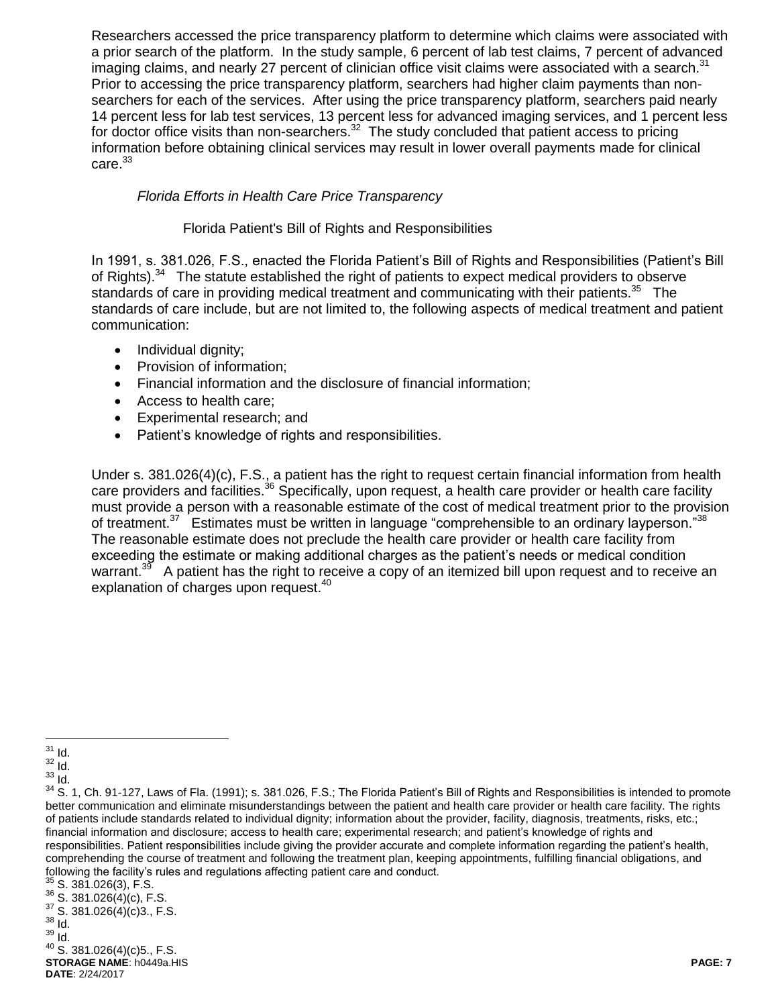Researchers accessed the price transparency platform to determine which claims were associated with a prior search of the platform. In the study sample, 6 percent of lab test claims, 7 percent of advanced imaging claims, and nearly 27 percent of clinician office visit claims were associated with a search.<sup>31</sup> Prior to accessing the price transparency platform, searchers had higher claim payments than nonsearchers for each of the services. After using the price transparency platform, searchers paid nearly 14 percent less for lab test services, 13 percent less for advanced imaging services, and 1 percent less for doctor office visits than non-searchers. $32$  The study concluded that patient access to pricing information before obtaining clinical services may result in lower overall payments made for clinical care.<sup>33</sup>

# *Florida Efforts in Health Care Price Transparency*

## Florida Patient's Bill of Rights and Responsibilities

In 1991, s. 381.026, F.S., enacted the Florida Patient's Bill of Rights and Responsibilities (Patient's Bill of Rights).<sup>34</sup> The statute established the right of patients to expect medical providers to observe standards of care in providing medical treatment and communicating with their patients.<sup>35</sup> The standards of care include, but are not limited to, the following aspects of medical treatment and patient communication:

- Individual dignity;
- Provision of information;
- Financial information and the disclosure of financial information;
- Access to health care;
- Experimental research; and
- Patient's knowledge of rights and responsibilities.

Under s. 381.026(4)(c), F.S., a patient has the right to request certain financial information from health care providers and facilities.<sup>36</sup> Specifically, upon request, a health care provider or health care facility must provide a person with a reasonable estimate of the cost of medical treatment prior to the provision of treatment.<sup>37</sup> Estimates must be written in language "comprehensible to an ordinary layperson."<sup>38</sup> The reasonable estimate does not preclude the health care provider or health care facility from exceeding the estimate or making additional charges as the patient's needs or medical condition warrant.<sup>39</sup> A patient has the right to receive a copy of an itemized bill upon request and to receive an explanation of charges upon request.<sup>40</sup>

 $\overline{a}$  $31$  Id.

 $\frac{32}{33}$  Id.

<sup>33</sup> Id.

<sup>&</sup>lt;sup>34</sup> S. 1. Ch. 91-127, Laws of Fla. (1991); s. 381.026, F.S.; The Florida Patient's Bill of Rights and Responsibilities is intended to promote better communication and eliminate misunderstandings between the patient and health care provider or health care facility. The rights of patients include standards related to individual dignity; information about the provider, facility, diagnosis, treatments, risks, etc.; financial information and disclosure; access to health care; experimental research; and patient's knowledge of rights and responsibilities. Patient responsibilities include giving the provider accurate and complete information regarding the patient's health, comprehending the course of treatment and following the treatment plan, keeping appointments, fulfilling financial obligations, and following the facility's rules and regulations affecting patient care and conduct.

 $35$  S. 381.026(3), F.S.

 $36$  S. 381.026(4)(c), F.S.  $37$  S. 381.026(4)(c)3., F.S.

 $38$   $\overline{1}$ d.

<sup>39</sup> Id.

**STORAGE NAME**: h0449a.HIS **PAGE: 7 DATE**: 2/24/2017 <sup>40</sup> S. 381.026(4)(c)5., F.S.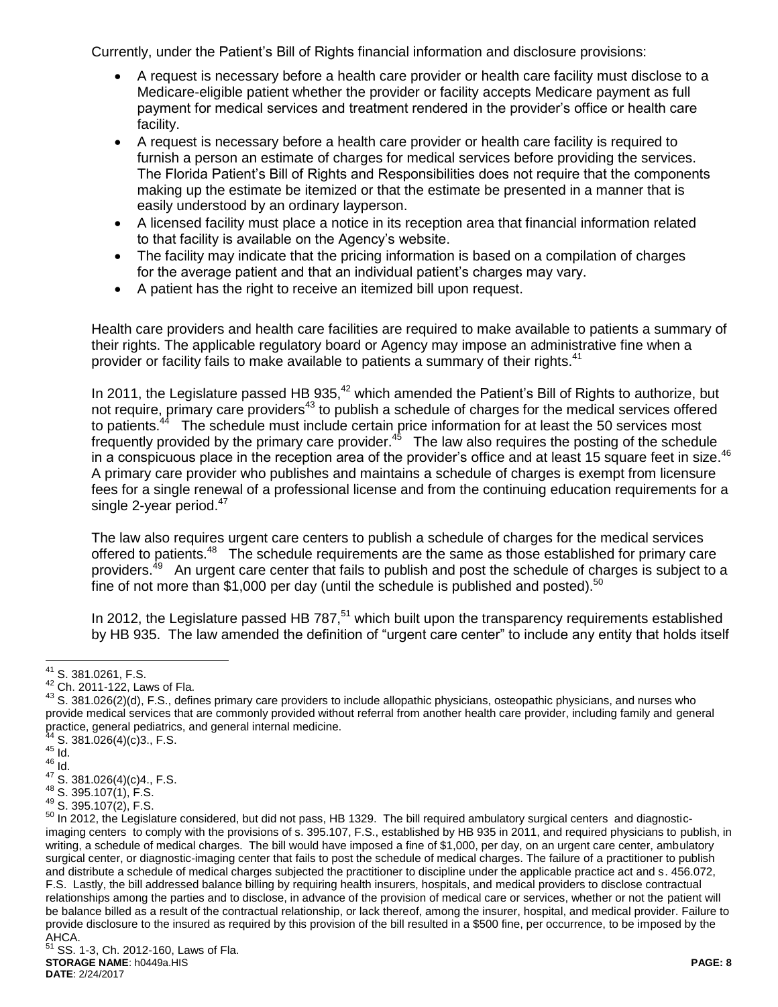Currently, under the Patient's Bill of Rights financial information and disclosure provisions:

- A request is necessary before a health care provider or health care facility must disclose to a Medicare-eligible patient whether the provider or facility accepts Medicare payment as full payment for medical services and treatment rendered in the provider's office or health care facility.
- A request is necessary before a health care provider or health care facility is required to furnish a person an estimate of charges for medical services before providing the services. The Florida Patient's Bill of Rights and Responsibilities does not require that the components making up the estimate be itemized or that the estimate be presented in a manner that is easily understood by an ordinary layperson.
- A licensed facility must place a notice in its reception area that financial information related to that facility is available on the Agency's website.
- The facility may indicate that the pricing information is based on a compilation of charges for the average patient and that an individual patient's charges may vary.
- A patient has the right to receive an itemized bill upon request.

Health care providers and health care facilities are required to make available to patients a summary of their rights. The applicable regulatory board or Agency may impose an administrative fine when a provider or facility fails to make available to patients a summary of their rights.<sup>41</sup>

In 2011, the Legislature passed HB 935,<sup>42</sup> which amended the Patient's Bill of Rights to authorize, but not require, primary care providers<sup>43</sup> to publish a schedule of charges for the medical services offered to patients.<sup>44</sup> The schedule must include certain price information for at least the 50 services most frequently provided by the primary care provider.<sup>45</sup> The law also requires the posting of the schedule in a conspicuous place in the reception area of the provider's office and at least 15 square feet in size.<sup>46</sup> A primary care provider who publishes and maintains a schedule of charges is exempt from licensure fees for a single renewal of a professional license and from the continuing education requirements for a single 2-year period. $47$ 

The law also requires urgent care centers to publish a schedule of charges for the medical services offered to patients.<sup>48</sup> The schedule requirements are the same as those established for primary care providers.<sup>49</sup> An urgent care center that fails to publish and post the schedule of charges is subject to a fine of not more than \$1,000 per day (until the schedule is published and posted).<sup>50</sup>

In 2012, the Legislature passed HB 787,<sup>51</sup> which built upon the transparency requirements established by HB 935. The law amended the definition of "urgent care center" to include any entity that holds itself

 $S. 381.026(4)(c)3., F.S.$ 

 $\overline{a}$  $41$  S. 381.0261, F.S.

<sup>42</sup> Ch. 2011-122, Laws of Fla.

 $43$  S. 381.026(2)(d), F.S., defines primary care providers to include allopathic physicians, osteopathic physicians, and nurses who provide medical services that are commonly provided without referral from another health care provider, including family and general practice, general pediatrics, and general internal medicine.

 $45$  Id.

 $^{46}$  Id.

S. 381.026(4)(c)4., F.S.

<sup>48</sup> S. 395.107(1), F.S.

<sup>49</sup> S. 395.107(2), F.S.

<sup>50</sup> In 2012, the Legislature considered, but did not pass, HB 1329. The bill required ambulatory surgical centers and diagnosticimaging centers to comply with the provisions of s. 395.107, F.S., established by HB 935 in 2011, and required physicians to publish, in writing, a schedule of medical charges. The bill would have imposed a fine of \$1,000, per day, on an urgent care center, ambulatory surgical center, or diagnostic-imaging center that fails to post the schedule of medical charges. The failure of a practitioner to publish and distribute a schedule of medical charges subjected the practitioner to discipline under the applicable practice act and s. 456.072, F.S. Lastly, the bill addressed balance billing by requiring health insurers, hospitals, and medical providers to disclose contractual relationships among the parties and to disclose, in advance of the provision of medical care or services, whether or not the patient will be balance billed as a result of the contractual relationship, or lack thereof, among the insurer, hospital, and medical provider. Failure to provide disclosure to the insured as required by this provision of the bill resulted in a \$500 fine, per occurrence, to be imposed by the AHCA.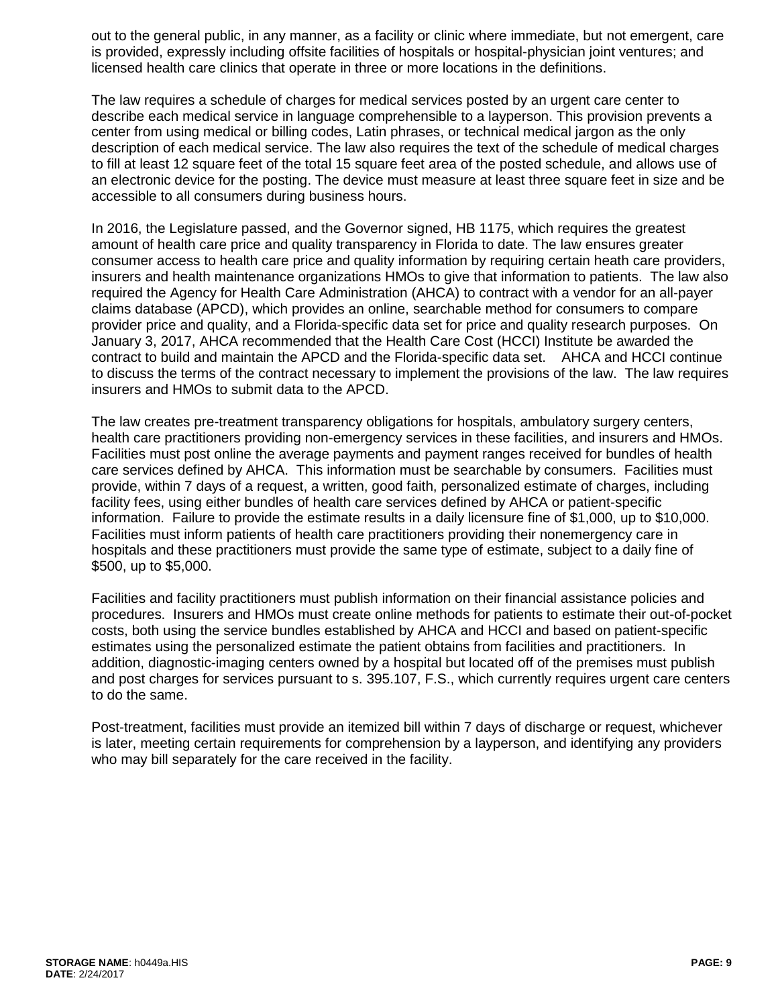out to the general public, in any manner, as a facility or clinic where immediate, but not emergent, care is provided, expressly including offsite facilities of hospitals or hospital-physician joint ventures; and licensed health care clinics that operate in three or more locations in the definitions.

The law requires a schedule of charges for medical services posted by an urgent care center to describe each medical service in language comprehensible to a layperson. This provision prevents a center from using medical or billing codes, Latin phrases, or technical medical jargon as the only description of each medical service. The law also requires the text of the schedule of medical charges to fill at least 12 square feet of the total 15 square feet area of the posted schedule, and allows use of an electronic device for the posting. The device must measure at least three square feet in size and be accessible to all consumers during business hours.

In 2016, the Legislature passed, and the Governor signed, HB 1175, which requires the greatest amount of health care price and quality transparency in Florida to date. The law ensures greater consumer access to health care price and quality information by requiring certain heath care providers, insurers and health maintenance organizations HMOs to give that information to patients. The law also required the Agency for Health Care Administration (AHCA) to contract with a vendor for an all-payer claims database (APCD), which provides an online, searchable method for consumers to compare provider price and quality, and a Florida-specific data set for price and quality research purposes. On January 3, 2017, AHCA recommended that the Health Care Cost (HCCI) Institute be awarded the contract to build and maintain the APCD and the Florida-specific data set. AHCA and HCCI continue to discuss the terms of the contract necessary to implement the provisions of the law. The law requires insurers and HMOs to submit data to the APCD.

The law creates pre-treatment transparency obligations for hospitals, ambulatory surgery centers, health care practitioners providing non-emergency services in these facilities, and insurers and HMOs. Facilities must post online the average payments and payment ranges received for bundles of health care services defined by AHCA. This information must be searchable by consumers. Facilities must provide, within 7 days of a request, a written, good faith, personalized estimate of charges, including facility fees, using either bundles of health care services defined by AHCA or patient-specific information. Failure to provide the estimate results in a daily licensure fine of \$1,000, up to \$10,000. Facilities must inform patients of health care practitioners providing their nonemergency care in hospitals and these practitioners must provide the same type of estimate, subject to a daily fine of \$500, up to \$5,000.

Facilities and facility practitioners must publish information on their financial assistance policies and procedures. Insurers and HMOs must create online methods for patients to estimate their out-of-pocket costs, both using the service bundles established by AHCA and HCCI and based on patient-specific estimates using the personalized estimate the patient obtains from facilities and practitioners. In addition, diagnostic-imaging centers owned by a hospital but located off of the premises must publish and post charges for services pursuant to s. 395.107, F.S., which currently requires urgent care centers to do the same.

Post-treatment, facilities must provide an itemized bill within 7 days of discharge or request, whichever is later, meeting certain requirements for comprehension by a layperson, and identifying any providers who may bill separately for the care received in the facility.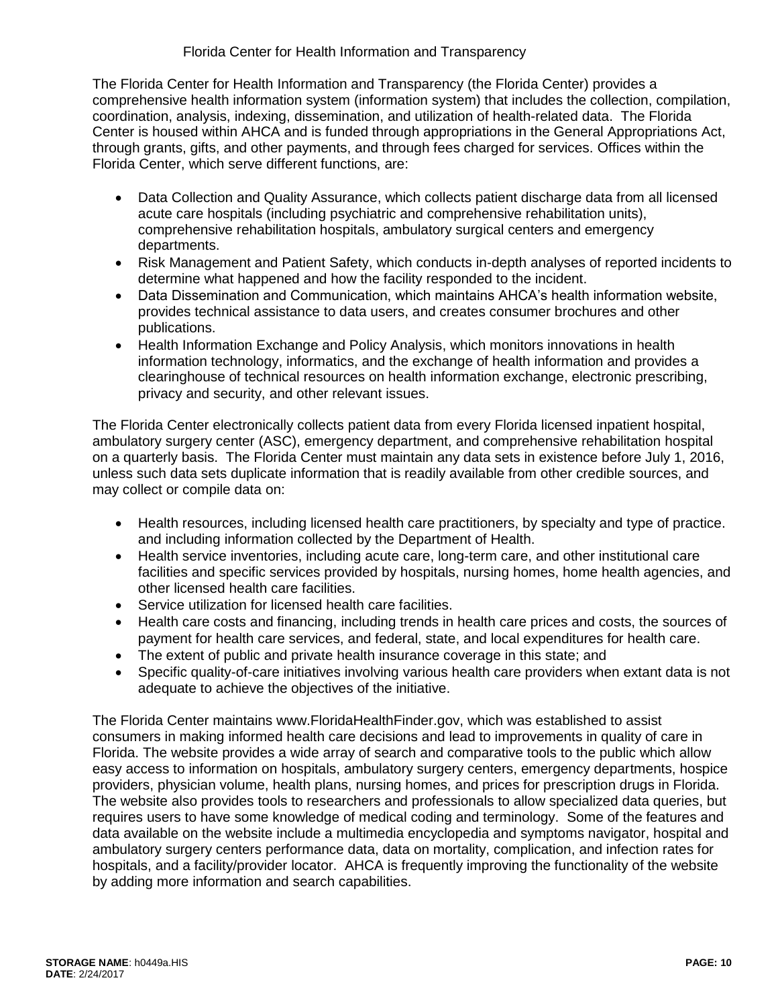The Florida Center for Health Information and Transparency (the Florida Center) provides a comprehensive health information system (information system) that includes the collection, compilation, coordination, analysis, indexing, dissemination, and utilization of health-related data. The Florida Center is housed within AHCA and is funded through appropriations in the General Appropriations Act, through grants, gifts, and other payments, and through fees charged for services. Offices within the Florida Center, which serve different functions, are:

- Data Collection and Quality Assurance, which collects patient discharge data from all licensed acute care hospitals (including psychiatric and comprehensive rehabilitation units), comprehensive rehabilitation hospitals, ambulatory surgical centers and emergency departments.
- Risk Management and Patient Safety, which conducts in-depth analyses of reported incidents to determine what happened and how the facility responded to the incident.
- Data Dissemination and Communication, which maintains AHCA's health information website, provides technical assistance to data users, and creates consumer brochures and other publications.
- Health Information Exchange and Policy Analysis, which monitors innovations in health information technology, informatics, and the exchange of health information and provides a clearinghouse of technical resources on health information exchange, electronic prescribing, privacy and security, and other relevant issues.

The Florida Center electronically collects patient data from every Florida licensed inpatient hospital, ambulatory surgery center (ASC), emergency department, and comprehensive rehabilitation hospital on a quarterly basis. The Florida Center must maintain any data sets in existence before July 1, 2016, unless such data sets duplicate information that is readily available from other credible sources, and may collect or compile data on:

- Health resources, including licensed health care practitioners, by specialty and type of practice. and including information collected by the Department of Health.
- Health service inventories, including acute care, long-term care, and other institutional care facilities and specific services provided by hospitals, nursing homes, home health agencies, and other licensed health care facilities.
- Service utilization for licensed health care facilities.
- Health care costs and financing, including trends in health care prices and costs, the sources of payment for health care services, and federal, state, and local expenditures for health care.
- The extent of public and private health insurance coverage in this state; and
- Specific quality-of-care initiatives involving various health care providers when extant data is not adequate to achieve the objectives of the initiative.

The Florida Center maintains www.FloridaHealthFinder.gov, which was established to assist consumers in making informed health care decisions and lead to improvements in quality of care in Florida. The website provides a wide array of search and comparative tools to the public which allow easy access to information on hospitals, ambulatory surgery centers, emergency departments, hospice providers, physician volume, health plans, nursing homes, and prices for prescription drugs in Florida. The website also provides tools to researchers and professionals to allow specialized data queries, but requires users to have some knowledge of medical coding and terminology. Some of the features and data available on the website include a multimedia encyclopedia and symptoms navigator, hospital and ambulatory surgery centers performance data, data on mortality, complication, and infection rates for hospitals, and a facility/provider locator. AHCA is frequently improving the functionality of the website by adding more information and search capabilities.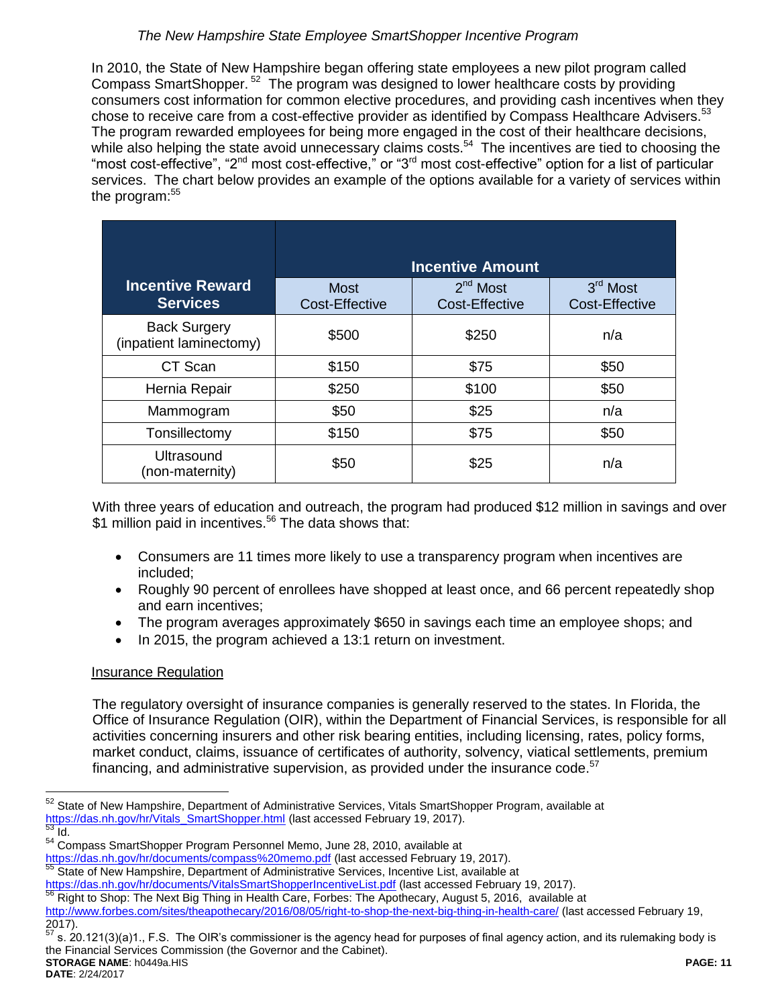# *The New Hampshire State Employee SmartShopper Incentive Program*

In 2010, the State of New Hampshire began offering state employees a new pilot program called Compass SmartShopper.<sup>52</sup> The program was designed to lower healthcare costs by providing consumers cost information for common elective procedures, and providing cash incentives when they chose to receive care from a cost-effective provider as identified by Compass Healthcare Advisers.<sup>53</sup> The program rewarded employees for being more engaged in the cost of their healthcare decisions, while also helping the state avoid unnecessary claims costs.<sup>54</sup> The incentives are tied to choosing the "most cost-effective", "2<sup>nd</sup> most cost-effective," or "3<sup>rd</sup> most cost-effective" option for a list of particular services. The chart below provides an example of the options available for a variety of services within the program:<sup>55</sup>

|                                                | <b>Incentive Amount</b>              |                                     |                                     |  |
|------------------------------------------------|--------------------------------------|-------------------------------------|-------------------------------------|--|
| <b>Incentive Reward</b><br><b>Services</b>     | <b>Most</b><br><b>Cost-Effective</b> | $2nd$ Most<br><b>Cost-Effective</b> | $3rd$ Most<br><b>Cost-Effective</b> |  |
| <b>Back Surgery</b><br>(inpatient laminectomy) | \$500                                | \$250                               | n/a                                 |  |
| CT Scan                                        | \$150                                | \$75                                | \$50                                |  |
| Hernia Repair                                  | \$250                                | \$100                               | \$50                                |  |
| Mammogram                                      | \$50                                 | \$25                                | n/a                                 |  |
| Tonsillectomy                                  | \$150                                | \$75                                | \$50                                |  |
| Ultrasound<br>(non-maternity)                  | \$50                                 | \$25                                | n/a                                 |  |

With three years of education and outreach, the program had produced \$12 million in savings and over \$1 million paid in incentives.<sup>56</sup> The data shows that:

- Consumers are 11 times more likely to use a transparency program when incentives are included;
- Roughly 90 percent of enrollees have shopped at least once, and 66 percent repeatedly shop and earn incentives;
- The program averages approximately \$650 in savings each time an employee shops; and
- In 2015, the program achieved a 13:1 return on investment.

# Insurance Regulation

The regulatory oversight of insurance companies is generally reserved to the states. In Florida, the Office of Insurance Regulation (OIR), within the Department of Financial Services, is responsible for all activities concerning insurers and other risk bearing entities, including licensing, rates, policy forms, market conduct, claims, issuance of certificates of authority, solvency, viatical settlements, premium financing, and administrative supervision, as provided under the insurance code.<sup>57</sup>

<https://das.nh.gov/hr/documents/compass%20memo.pdf> (last accessed February 19, 2017).

<https://das.nh.gov/hr/documents/VitalsSmartShopperIncentiveList.pdf> (last accessed February 19, 2017).

**STORAGE NAME**: h0449a.HIS **PAGE: 11** s. 20.121(3)(a)1., F.S. The OIR's commissioner is the agency head for purposes of final agency action, and its rulemaking body is the Financial Services Commission (the Governor and the Cabinet).

 $\overline{a}$ State of New Hampshire, Department of Administrative Services, Vitals SmartShopper Program, available at [https://das.nh.gov/hr/Vitals\\_SmartShopper.html](https://das.nh.gov/hr/Vitals_SmartShopper.html) (last accessed February 19, 2017).  $\frac{1}{53}$  Id.

<sup>54</sup> Compass SmartShopper Program Personnel Memo, June 28, 2010, available at

<sup>55</sup> State of New Hampshire, Department of Administrative Services, Incentive List, available at

Right to Shop: The Next Big Thing in Health Care, Forbes: The Apothecary, August 5, 2016, available at <http://www.forbes.com/sites/theapothecary/2016/08/05/right-to-shop-the-next-big-thing-in-health-care/> (last accessed February 19, 2017).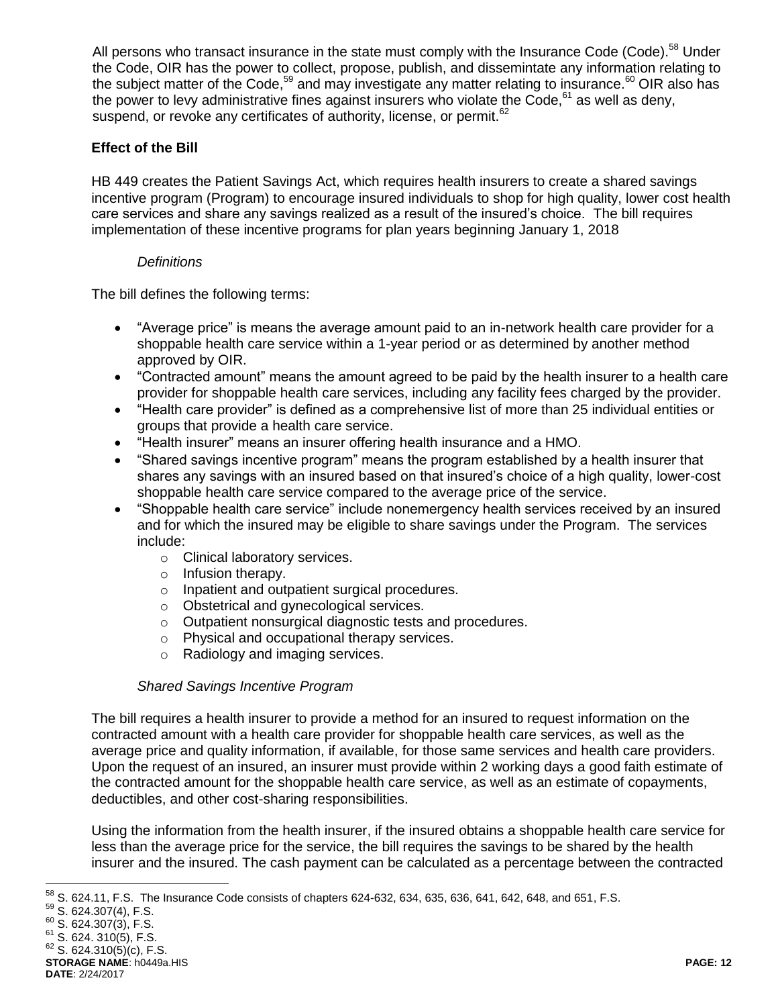All persons who transact insurance in the state must comply with the Insurance Code (Code).<sup>58</sup> Under the Code, OIR has the power to collect, propose, publish, and dissemintate any information relating to the subject matter of the Code,<sup>59</sup> and may investigate any matter relating to insurance.<sup>60</sup> OIR also has the power to levy administrative fines against insurers who violate the Code.<sup>61</sup> as well as deny, suspend, or revoke any certificates of authority, license, or permit.<sup>62</sup>

# **Effect of the Bill**

HB 449 creates the Patient Savings Act, which requires health insurers to create a shared savings incentive program (Program) to encourage insured individuals to shop for high quality, lower cost health care services and share any savings realized as a result of the insured's choice. The bill requires implementation of these incentive programs for plan years beginning January 1, 2018

## *Definitions*

The bill defines the following terms:

- "Average price" is means the average amount paid to an in-network health care provider for a shoppable health care service within a 1-year period or as determined by another method approved by OIR.
- "Contracted amount" means the amount agreed to be paid by the health insurer to a health care provider for shoppable health care services, including any facility fees charged by the provider.
- "Health care provider" is defined as a comprehensive list of more than 25 individual entities or groups that provide a health care service.
- "Health insurer" means an insurer offering health insurance and a HMO.
- "Shared savings incentive program" means the program established by a health insurer that shares any savings with an insured based on that insured's choice of a high quality, lower-cost shoppable health care service compared to the average price of the service.
- "Shoppable health care service" include nonemergency health services received by an insured and for which the insured may be eligible to share savings under the Program. The services include:
	- o Clinical laboratory services.
	- o Infusion therapy.
	- o Inpatient and outpatient surgical procedures.
	- o Obstetrical and gynecological services.
	- o Outpatient nonsurgical diagnostic tests and procedures.
	- o Physical and occupational therapy services.
	- o Radiology and imaging services.

## *Shared Savings Incentive Program*

The bill requires a health insurer to provide a method for an insured to request information on the contracted amount with a health care provider for shoppable health care services, as well as the average price and quality information, if available, for those same services and health care providers. Upon the request of an insured, an insurer must provide within 2 working days a good faith estimate of the contracted amount for the shoppable health care service, as well as an estimate of copayments, deductibles, and other cost-sharing responsibilities.

Using the information from the health insurer, if the insured obtains a shoppable health care service for less than the average price for the service, the bill requires the savings to be shared by the health insurer and the insured. The cash payment can be calculated as a percentage between the contracted

 $\overline{a}$ 

 $^{58}$  S. 624.11, F.S. The Insurance Code consists of chapters 624-632, 634, 635, 636, 641, 642, 648, and 651, F.S.

 $59$  S. 624.307(4), F.S.

<sup>60</sup> S. 624.307(3), F.S.

 $61$  S. 624. 310(5), F.S.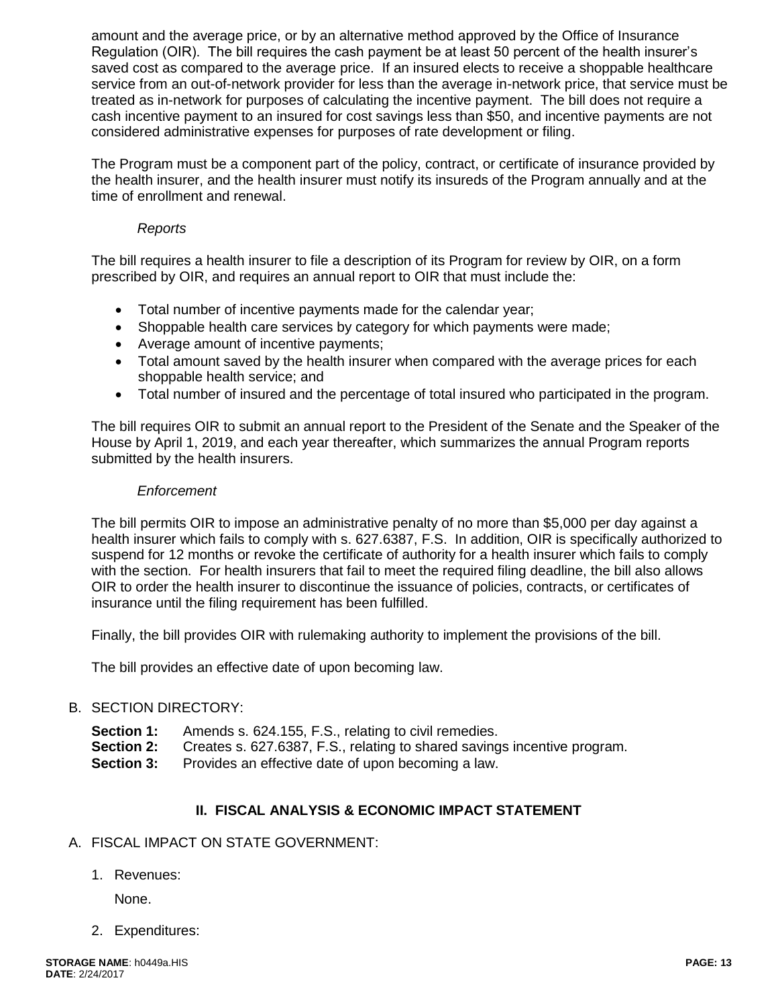amount and the average price, or by an alternative method approved by the Office of Insurance Regulation (OIR). The bill requires the cash payment be at least 50 percent of the health insurer's saved cost as compared to the average price. If an insured elects to receive a shoppable healthcare service from an out-of-network provider for less than the average in-network price, that service must be treated as in-network for purposes of calculating the incentive payment. The bill does not require a cash incentive payment to an insured for cost savings less than \$50, and incentive payments are not considered administrative expenses for purposes of rate development or filing.

The Program must be a component part of the policy, contract, or certificate of insurance provided by the health insurer, and the health insurer must notify its insureds of the Program annually and at the time of enrollment and renewal.

## *Reports*

The bill requires a health insurer to file a description of its Program for review by OIR, on a form prescribed by OIR, and requires an annual report to OIR that must include the:

- Total number of incentive payments made for the calendar year;
- Shoppable health care services by category for which payments were made;
- Average amount of incentive payments;
- Total amount saved by the health insurer when compared with the average prices for each shoppable health service; and
- Total number of insured and the percentage of total insured who participated in the program.

The bill requires OIR to submit an annual report to the President of the Senate and the Speaker of the House by April 1, 2019, and each year thereafter, which summarizes the annual Program reports submitted by the health insurers.

## *Enforcement*

The bill permits OIR to impose an administrative penalty of no more than \$5,000 per day against a health insurer which fails to comply with s. 627.6387, F.S. In addition, OIR is specifically authorized to suspend for 12 months or revoke the certificate of authority for a health insurer which fails to comply with the section. For health insurers that fail to meet the required filing deadline, the bill also allows OIR to order the health insurer to discontinue the issuance of policies, contracts, or certificates of insurance until the filing requirement has been fulfilled.

Finally, the bill provides OIR with rulemaking authority to implement the provisions of the bill.

The bill provides an effective date of upon becoming law.

## B. SECTION DIRECTORY:

- **Section 1:** Amends s. 624.155, F.S., relating to civil remedies.
- **Section 2:** Creates s. 627.6387, F.S., relating to shared savings incentive program.
- **Section 3:** Provides an effective date of upon becoming a law.

## **II. FISCAL ANALYSIS & ECONOMIC IMPACT STATEMENT**

## A. FISCAL IMPACT ON STATE GOVERNMENT:

1. Revenues:

None.

2. Expenditures: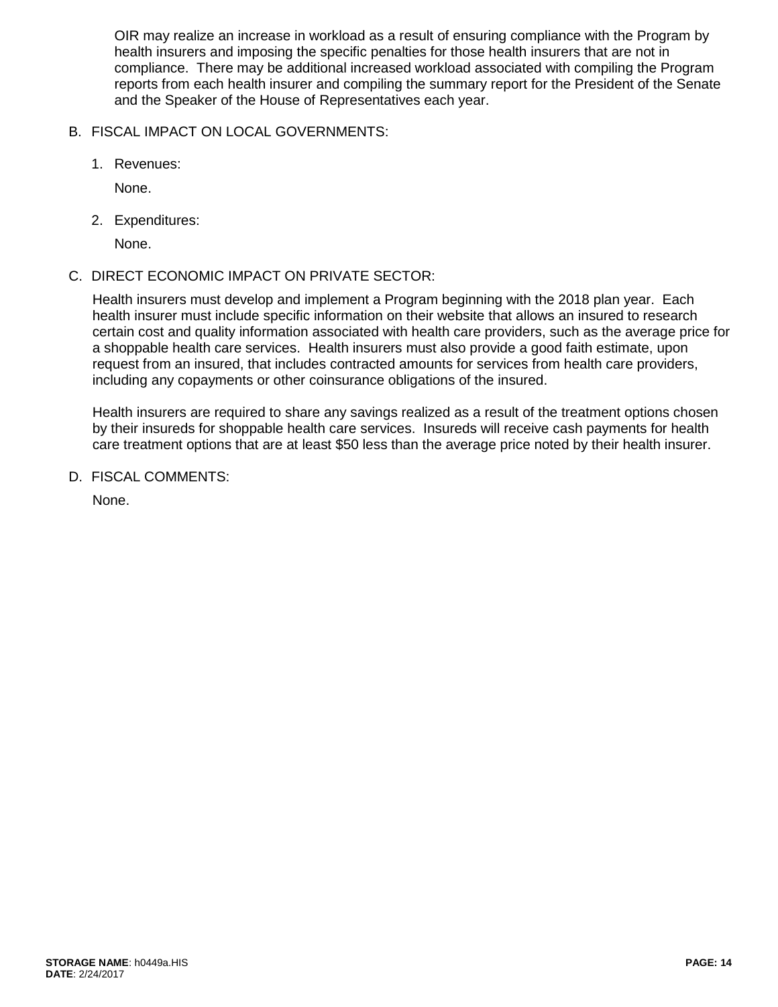OIR may realize an increase in workload as a result of ensuring compliance with the Program by health insurers and imposing the specific penalties for those health insurers that are not in compliance. There may be additional increased workload associated with compiling the Program reports from each health insurer and compiling the summary report for the President of the Senate and the Speaker of the House of Representatives each year.

- B. FISCAL IMPACT ON LOCAL GOVERNMENTS:
	- 1. Revenues:

None.

2. Expenditures:

None.

# C. DIRECT ECONOMIC IMPACT ON PRIVATE SECTOR:

Health insurers must develop and implement a Program beginning with the 2018 plan year. Each health insurer must include specific information on their website that allows an insured to research certain cost and quality information associated with health care providers, such as the average price for a shoppable health care services. Health insurers must also provide a good faith estimate, upon request from an insured, that includes contracted amounts for services from health care providers, including any copayments or other coinsurance obligations of the insured.

Health insurers are required to share any savings realized as a result of the treatment options chosen by their insureds for shoppable health care services. Insureds will receive cash payments for health care treatment options that are at least \$50 less than the average price noted by their health insurer.

D. FISCAL COMMENTS:

None.